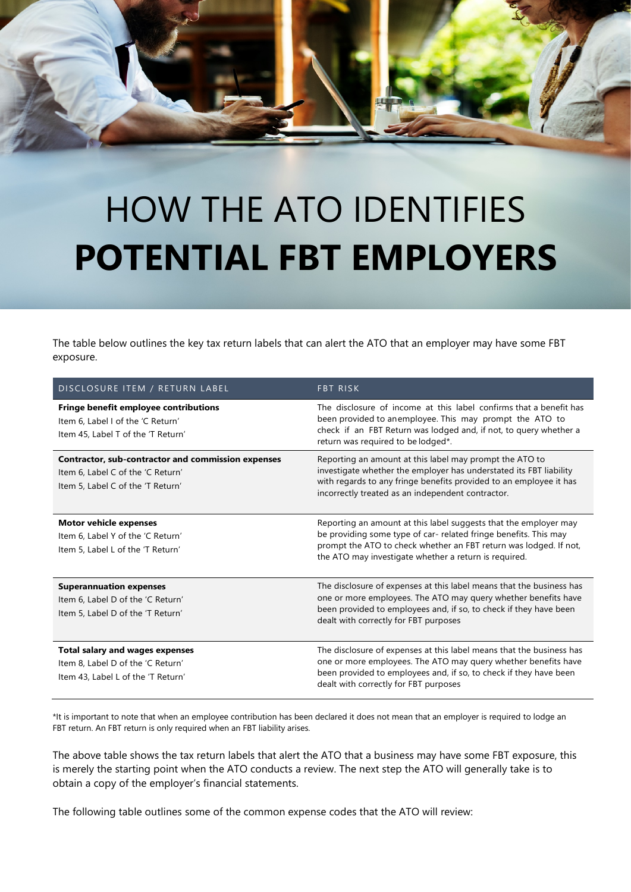## HOW THE ATO IDENTIFIES **POTENTIAL FBT EMPLOYERS**

The table below outlines the key tax return labels that can alert the ATO that an employer may have some FBT exposure.

| DISCLOSURE ITEM / RETURN LABEL                                                                                               | <b>FBT RISK</b>                                                                                                                                                                                                                                                    |
|------------------------------------------------------------------------------------------------------------------------------|--------------------------------------------------------------------------------------------------------------------------------------------------------------------------------------------------------------------------------------------------------------------|
| <b>Fringe benefit employee contributions</b><br>Item 6. Label I of the 'C Return'<br>Item 45, Label T of the 'T Return'      | The disclosure of income at this label confirms that a benefit has<br>been provided to anemployee. This may prompt the ATO to<br>check if an FBT Return was lodged and, if not, to query whether a<br>return was required to be lodged*.                           |
| Contractor, sub-contractor and commission expenses<br>Item 6, Label C of the 'C Return'<br>Item 5, Label C of the 'T Return' | Reporting an amount at this label may prompt the ATO to<br>investigate whether the employer has understated its FBT liability<br>with regards to any fringe benefits provided to an employee it has<br>incorrectly treated as an independent contractor.           |
| <b>Motor vehicle expenses</b><br>Item 6, Label Y of the 'C Return'<br>Item 5, Label L of the 'T Return'                      | Reporting an amount at this label suggests that the employer may<br>be providing some type of car- related fringe benefits. This may<br>prompt the ATO to check whether an FBT return was lodged. If not,<br>the ATO may investigate whether a return is required. |
| <b>Superannuation expenses</b><br>Item 6. Label D of the 'C Return'<br>Item 5, Label D of the 'T Return'                     | The disclosure of expenses at this label means that the business has<br>one or more employees. The ATO may query whether benefits have<br>been provided to employees and, if so, to check if they have been<br>dealt with correctly for FBT purposes               |
| <b>Total salary and wages expenses</b><br>Item 8. Label D of the 'C Return'<br>Item 43, Label L of the 'T Return'            | The disclosure of expenses at this label means that the business has<br>one or more employees. The ATO may query whether benefits have<br>been provided to employees and, if so, to check if they have been<br>dealt with correctly for FBT purposes               |

\*It is important to note that when an employee contribution has been declared it does not mean that an employer is required to lodge an FBT return. An FBT return is only required when an FBT liability arises.

The above table shows the tax return labels that alert the ATO that a business may have some FBT exposure, this is merely the starting point when the ATO conducts a review. The next step the ATO will generally take is to obtain a copy of the employer's financial statements.

The following table outlines some of the common expense codes that the ATO will review: